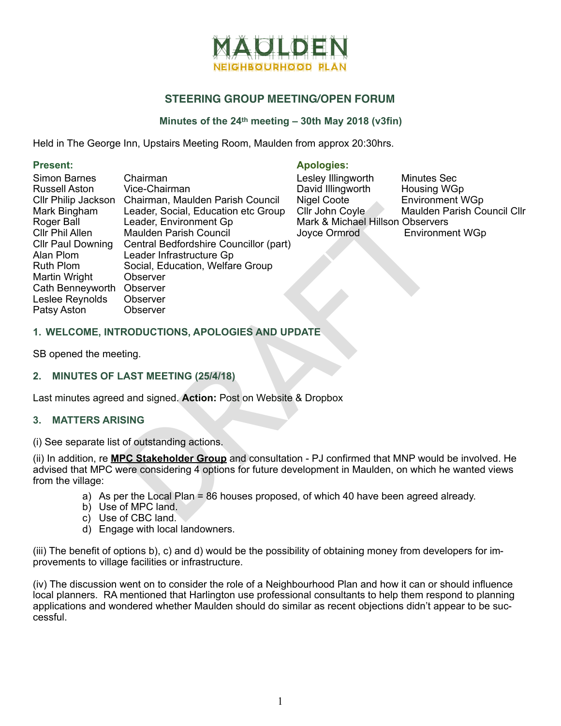

# **STEERING GROUP MEETING/OPEN FORUM**

## **Minutes of the 24th meeting – 30th May 2018 (v3fin)**

Held in The George Inn, Upstairs Meeting Room, Maulden from approx 20:30hrs.

| <b>Simon Barnes</b>          | Chairman                                                                                                                                                                                                                    | Lesley Illingworth               | <b>Minutes Sec</b>          |
|------------------------------|-----------------------------------------------------------------------------------------------------------------------------------------------------------------------------------------------------------------------------|----------------------------------|-----------------------------|
| <b>Russell Aston</b>         | Vice-Chairman                                                                                                                                                                                                               | David Illingworth                | Housing WGp                 |
| Cllr Philip Jackson          | Chairman, Maulden Parish Council                                                                                                                                                                                            | Nigel Coote                      | <b>Environment WGp</b>      |
| Mark Bingham                 | Leader, Social, Education etc Group                                                                                                                                                                                         | Cllr John Coyle                  | Maulden Parish Council Cllr |
| Roger Ball                   | Leader, Environment Gp                                                                                                                                                                                                      | Mark & Michael Hillson Observers |                             |
| <b>CIIr Phil Allen</b>       | <b>Maulden Parish Council</b>                                                                                                                                                                                               | Joyce Ormrod                     | <b>Environment WGp</b>      |
| <b>CIIr Paul Downing</b>     | Central Bedfordshire Councillor (part)                                                                                                                                                                                      |                                  |                             |
| Alan Plom                    | Leader Infrastructure Gp                                                                                                                                                                                                    |                                  |                             |
| <b>Ruth Plom</b>             | Social, Education, Welfare Group                                                                                                                                                                                            |                                  |                             |
| Martin Wright                | Observer                                                                                                                                                                                                                    |                                  |                             |
| Cath Benneyworth             | Observer                                                                                                                                                                                                                    |                                  |                             |
| Leslee Reynolds              | <b>Observer</b>                                                                                                                                                                                                             |                                  |                             |
| Patsy Aston                  | <b>Observer</b>                                                                                                                                                                                                             |                                  |                             |
| SB opened the meeting.       | 1. WELCOME, INTRODUCTIONS, APOLOGIES AND UPDATE                                                                                                                                                                             |                                  |                             |
|                              | 2. MINUTES OF LAST MEETING (25/4/18)                                                                                                                                                                                        |                                  |                             |
|                              | Last minutes agreed and signed. Action: Post on Website & Dropbox                                                                                                                                                           |                                  |                             |
| 3.<br><b>MATTERS ARISING</b> |                                                                                                                                                                                                                             |                                  |                             |
|                              | (i) See separate list of outstanding actions.                                                                                                                                                                               |                                  |                             |
| from the village:            | (ii) In addition, re <b>MPC Stakeholder Group</b> and consultation - PJ confirmed that MNP would be involved. He<br>advised that MPC were considering 4 options for future development in Maulden, on which he wanted views |                                  |                             |
| C)                           | a) As per the Local Plan = 86 houses proposed, of which 40 have been agreed already.<br>b) Use of MPC land.<br>Use of CBC land.                                                                                             |                                  |                             |

#### Present: **Apologies:** Apologies:

| Lesley Illingworth               | <b>Minutes Sec</b>          |  |  |
|----------------------------------|-----------------------------|--|--|
| David Illingworth                | <b>Housing WGp</b>          |  |  |
| Nigel Coote                      | <b>Environment WGp</b>      |  |  |
| Cllr John Coyle                  | Maulden Parish Council Cllr |  |  |
| Mark & Michael Hillson Observers |                             |  |  |
| Joyce Ormrod                     | <b>Environment WGp</b>      |  |  |
|                                  |                             |  |  |

### **1. WELCOME, INTRODUCTIONS, APOLOGIES AND UPDATE**

#### **2. MINUTES OF LAST MEETING (25/4/18)**

#### **3. MATTERS ARISING**

- a) As per the Local Plan = 86 houses proposed, of which 40 have been agreed already.
- b) Use of MPC land.
- c) Use of CBC land.
- d) Engage with local landowners.

(iii) The benefit of options b), c) and d) would be the possibility of obtaining money from developers for improvements to village facilities or infrastructure.

(iv) The discussion went on to consider the role of a Neighbourhood Plan and how it can or should influence local planners. RA mentioned that Harlington use professional consultants to help them respond to planning applications and wondered whether Maulden should do similar as recent objections didn't appear to be successful.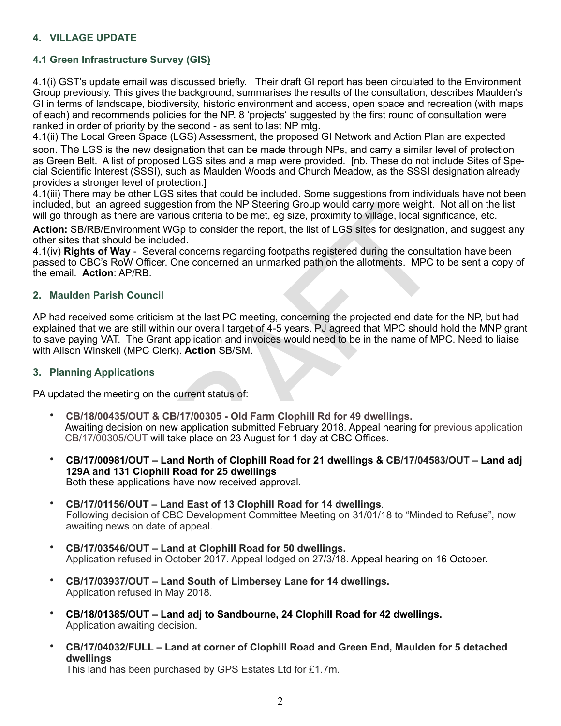## **4. VILLAGE UPDATE**

## **4.1 Green Infrastructure Survey (GIS)**

4.1(i) GST's update email was discussed briefly. Their draft GI report has been circulated to the Environment Group previously. This gives the background, summarises the results of the consultation, describes Maulden's GI in terms of landscape, biodiversity, historic environment and access, open space and recreation (with maps of each) and recommends policies for the NP. 8 'projects' suggested by the first round of consultation were ranked in order of priority by the second - as sent to last NP mtg.

4.1(ii) The Local Green Space (LGS) Assessment, the proposed GI Network and Action Plan are expected soon. The LGS is the new designation that can be made through NPs, and carry a similar level of protection as Green Belt. A list of proposed LGS sites and a map were provided. [nb. These do not include Sites of Spe cial Scientific Interest (SSSI), such as Maulden Woods and Church Meadow, as the SSSI designation already provides a stronger level of protection.]

4.1(iii) There may be other LGS sites that could be included. Some suggestions from individuals have not been included, but an agreed suggestion from the NP Steering Group would carry more weight. Not all on the list will go through as there are various criteria to be met, eg size, proximity to village, local significance, etc.

**Action:** SB/RB/Environment WGp to consider the report, the list of LGS sites for designation, and suggest any other sites that should be included.

4.1(iv) **Rights of Way** - Several concerns regarding footpaths registered during the consultation have been passed to CBC's RoW Officer. One concerned an unmarked path on the allotments. MPC to be sent a copy of the email. **Action**: AP/RB.

#### **2. Maulden Parish Council**

read suggestion from the NP Steering Group would carry more weight. In<br>ener are various criteria to be met, eg size, proximity to village, local sign<br>iroment WGp to consider the report, the list of LGS sites for designatio AP had received some criticism at the last PC meeting, concerning the projected end date for the NP, but had explained that we are still within our overall target of 4-5 years. PJ agreed that MPC should hold the MNP grant to save paying VAT. The Grant application and invoices would need to be in the name of MPC. Need to liaise with Alison Winskell (MPC Clerk). **Action** SB/SM.

#### **3. Planning Applications**

PA updated the meeting on the current status of:

- **CB/18/00435/OUT & CB/17/00305 Old Farm Clophill Rd for 49 dwellings.** Awaiting decision on new application submitted February 2018. Appeal hearing for previous application CB/17/00305/OUT will take place on 23 August for 1 day at CBC Offices.
- **CB/17/00981/OUT Land North of Clophill Road for 21 dwellings & CB/17/04583/OUT Land adj 129A and 131 Clophill Road for 25 dwellings** Both these applications have now received approval.
- **CB/17/01156/OUT Land East of 13 Clophill Road for 14 dwellings**. Following decision of CBC Development Committee Meeting on 31/01/18 to "Minded to Refuse", now awaiting news on date of appeal.
- **CB/17/03546/OUT Land at Clophill Road for 50 dwellings.** Application refused in October 2017. Appeal lodged on 27/3/18. Appeal hearing on 16 October.
- **CB/17/03937/OUT Land South of Limbersey Lane for 14 dwellings.** Application refused in May 2018.
- **CB/18/01385/OUT Land adj to Sandbourne, 24 Clophill Road for 42 dwellings.** Application awaiting decision.
- **CB/17/04032/FULL Land at corner of Clophill Road and Green End, Maulden for 5 detached dwellings**

This land has been purchased by GPS Estates Ltd for £1.7m.